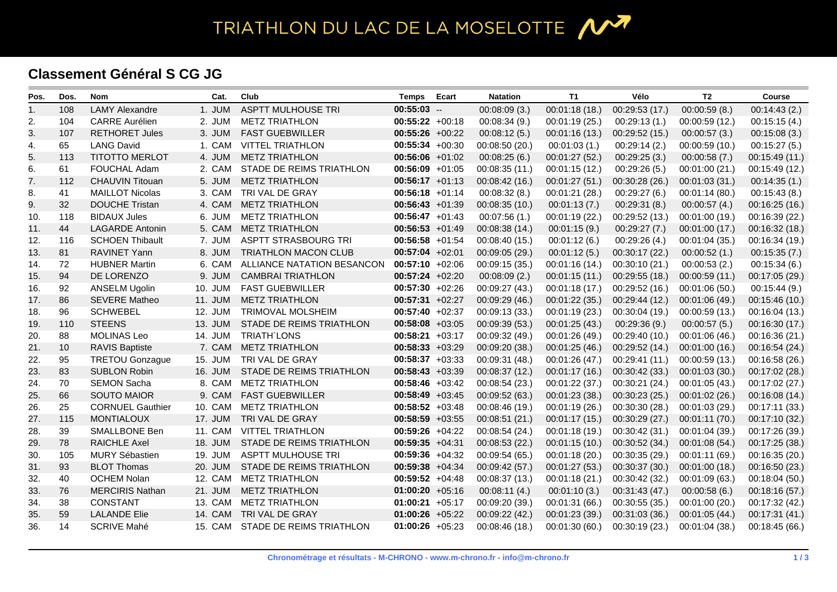## TRIATHLON DU LAC DE LA MOSELOTTE 1

## **Classement Général S CG JG**

| Pos. | Dos. | <b>Nom</b>              | Cat.    | Club                        | <b>Temps</b>      | Ecart | <b>Natation</b> | T1             | Vélo           | T <sub>2</sub> | <b>Course</b>  |
|------|------|-------------------------|---------|-----------------------------|-------------------|-------|-----------------|----------------|----------------|----------------|----------------|
| 1.   | 108  | <b>LAMY Alexandre</b>   | 1. JUM  | <b>ASPTT MULHOUSE TRI</b>   | $00:55:03$ --     |       | 00:08:09(3.)    | 00:01:18(18.)  | 00:29:53 (17.) | 00:00:59(8.)   | 00:14:43(2.)   |
| 2.   | 104  | <b>CARRE Aurélien</b>   | 2. JUM  | <b>METZ TRIATHLON</b>       | $00:55:22 +00:18$ |       | 00:08:34(9.)    | 00:01:19 (25.) | 00:29:13(1)    | 00:00:59(12)   | 00:15:15(4)    |
| 3.   | 107  | <b>RETHORET Jules</b>   | 3. JUM  | <b>FAST GUEBWILLER</b>      | $00:55:26 +00:22$ |       | 00:08:12(5.)    | 00:01:16 (13.) | 00:29:52(15.)  | 00:00:57(3.)   | 00:15:08(3.)   |
| 4.   | 65   | <b>LANG David</b>       | 1. CAM  | <b>VITTEL TRIATHLON</b>     | $00:55:34 +00:30$ |       | 00:08:50 (20.)  | 00:01:03(1.)   | 00:29:14(2.)   | 00:00:59 (10.) | 00:15:27(5.)   |
| 5.   | 113  | <b>TITOTTO MERLOT</b>   | 4. JUM  | <b>METZ TRIATHLON</b>       | $00:56:06$ +01:02 |       | 00:08:25(6.)    | 00:01:27 (52.) | 00:29:25(3.)   | 00:00:58(7.)   | 00:15:49 (11.) |
| 6.   | 61   | FOUCHAL Adam            | 2. CAM  | STADE DE REIMS TRIATHLON    | $00:56:09 +01:05$ |       | 00:08:35(11)    | 00:01:15(12.)  | 00:29:26(5.)   | 00:01:00(21.)  | 00:15:49 (12.) |
| 7.   | 112  | <b>CHAUVIN Titouan</b>  | 5. JUM  | <b>METZ TRIATHLON</b>       | $00:56:17 +01:13$ |       | 00:08:42(16.)   | 00:01:27(51.)  | 00:30:28(26.)  | 00:01:03(31.)  | 00:14:35(1)    |
| 8.   | 41   | <b>MAILLOT Nicolas</b>  | 3. CAM  | TRI VAL DE GRAY             | $00:56:18$ +01:14 |       | 00:08:32(8.)    | 00:01:21 (28.) | 00:29:27(6.)   | 00:01:14 (80.) | 00:15:43(8.)   |
| 9.   | 32   | <b>DOUCHE Tristan</b>   | 4. CAM  | <b>METZ TRIATHLON</b>       | $00:56:43 +01:39$ |       | 00:08:35(10.)   | 00:01:13(7.)   | 00:29:31(8.)   | 00:00:57(4.)   | 00:16:25(16.)  |
| 10.  | 118  | <b>BIDAUX Jules</b>     | 6. JUM  | <b>METZ TRIATHLON</b>       | $00:56:47 +01:43$ |       | 00:07:56(1)     | 00:01:19 (22.) | 00:29:52(13.)  | 00:01:00(19)   | 00:16:39 (22.) |
| 11.  | 44   | <b>LAGARDE Antonin</b>  | 5. CAM  | <b>METZ TRIATHLON</b>       | $00:56:53 +01:49$ |       | 00:08:38 (14.)  | 00:01:15(9.)   | 00:29:27(7.)   | 00:01:00(17.)  | 00:16:32 (18.) |
| 12.  | 116  | <b>SCHOEN Thibault</b>  | 7. JUM  | ASPTT STRASBOURG TRI        | $00:56:58$ +01:54 |       | 00:08:40 (15.)  | 00:01:12(6.)   | 00:29:26(4.)   | 00:01:04(35.)  | 00:16:34 (19.) |
| 13.  | 81   | RAVINET Yann            | 8. JUM  | <b>TRIATHLON MACON CLUB</b> | $00:57:04 +02:01$ |       | 00:09:05 (29.)  | 00:01:12(5.)   | 00:30:17 (22.) | 00:00:52(1)    | 00:15:35(7)    |
| 14.  | 72   | <b>HUBNER Martin</b>    | 6. CAM  | ALLIANCE NATATION BESANCON  | $00:57:10 +02:06$ |       | 00:09:15 (35.)  | 00:01:16 (14.) | 00:30:10(21)   | 00:00:53(2)    | 00:15:34(6)    |
| 15.  | 94   | DE LORENZO              | 9. JUM  | <b>CAMBRAI TRIATHLON</b>    | $00:57:24 +02:20$ |       | 00:08:09(2.)    | 00:01:15(11)   | 00:29:55(18)   | 00:00:59(11)   | 00:17:05 (29.) |
| 16.  | 92   | ANSELM Ugolin           | 10. JUM | <b>FAST GUEBWILLER</b>      | $00:57:30 +02:26$ |       | 00:09:27(43)    | 00:01:18(17.)  | 00:29:52(16)   | 00:01:06(50.)  | 00:15:44(9)    |
| 17.  | 86   | <b>SEVERE Matheo</b>    | 11. JUM | <b>METZ TRIATHLON</b>       | $00:57:31 +02:27$ |       | 00:09:29 (46.)  | 00:01:22 (35.) | 00:29:44(12.)  | 00:01:06(49)   | 00:15:46 (10.) |
| 18.  | 96   | <b>SCHWEBEL</b>         | 12. JUM | TRIMOVAL MOLSHEIM           | $00:57:40 +02:37$ |       | 00:09:13 (33.)  | 00:01:19 (23.) | 00:30:04 (19.) | 00:00:59(13.)  | 00:16:04 (13.) |
| 19.  | 110  | <b>STEENS</b>           | 13. JUM | STADE DE REIMS TRIATHLON    | $00:58:08$ +03:05 |       | 00:09:39(53)    | 00:01:25 (43.) | 00:29:36(9.)   | 00:00:57(5.)   | 00:16:30 (17.) |
| 20.  | 88   | <b>MOLINAS Leo</b>      | 14. JUM | TRIATH'LONS                 | $00:58:21 +03:17$ |       | 00:09:32(49)    | 00:01:26 (49.) | 00:29:40 (10.) | 00:01:06(46.)  | 00:16:36 (21.) |
| 21.  | 10   | <b>RAVIS Baptiste</b>   | 7. CAM  | <b>METZ TRIATHLON</b>       | $00:58:33 +03:29$ |       | 00:09:20 (38.)  | 00:01:25 (46.) | 00:29:52(14.)  | 00:01:00(16.)  | 00:16:54 (24.) |
| 22.  | 95   | <b>TRETOU Gonzague</b>  | 15. JUM | TRI VAL DE GRAY             | $00:58:37 +03:33$ |       | 00:09:31 (48.)  | 00:01:26 (47.) | 00:29:41(11)   | 00:00:59(13)   | 00:16:58 (26.) |
| 23.  | 83   | <b>SUBLON Robin</b>     | 16. JUM | STADE DE REIMS TRIATHLON    | $00:58:43 +03:39$ |       | 00:08:37(12)    | 00:01:17 (16.) | 00:30:42(33)   | 00:01:03(30.)  | 00:17:02 (28.) |
| 24.  | 70   | <b>SEMON Sacha</b>      | 8. CAM  | <b>METZ TRIATHLON</b>       | $00:58:46$ +03:42 |       | 00:08:54 (23.)  | 00:01:22 (37.) | 00:30:21 (24.) | 00:01:05(43)   | 00:17:02 (27.) |
| 25.  | 66   | <b>SOUTO MAIOR</b>      | 9. CAM  | <b>FAST GUEBWILLER</b>      | $00:58:49 +03:45$ |       | 00:09:52 (63.)  | 00:01:23 (38.) | 00:30:23(25.)  | 00:01:02(26.)  | 00:16:08 (14.) |
| 26.  | 25   | <b>CORNUEL Gauthier</b> | 10. CAM | <b>METZ TRIATHLON</b>       | $00:58:52 +03:48$ |       | 00:08:46 (19.)  | 00:01:19 (26.) | 00:30:30 (28.) | 00:01:03(29.)  | 00:17:11 (33.) |
| 27.  | 115  | <b>MONTIALOUX</b>       | 17. JUM | TRI VAL DE GRAY             | $00:58:59 +03:55$ |       | 00:08:51(21.)   | 00:01:17 (15.) | 00:30:29(27.)  | 00:01:11(70.)  | 00:17:10 (32.) |
| 28.  | 39   | SMALLBONE Ben           | 11. CAM | <b>VITTEL TRIATHLON</b>     | $00:59:26$ +04:22 |       | 00:08:54 (24.)  | 00:01:18 (19.) | 00:30:42(31.)  | 00:01:04(39)   | 00:17:26 (39.) |
| 29.  | 78   | <b>RAICHLE Axel</b>     | 18. JUM | STADE DE REIMS TRIATHLON    | $00:59:35 +04:31$ |       | 00:08:53 (22.)  | 00:01:15(10.)  | 00:30:52(34.)  | 00:01:08(54)   | 00:17:25 (38.) |
| 30.  | 105  | MURY Sébastien          | 19. JUM | <b>ASPTT MULHOUSE TRI</b>   | $00:59:36$ +04:32 |       | 00:09:54 (65.)  | 00:01:18 (20.) | 00:30:35 (29.) | 00:01:11(69)   | 00:16:35 (20.) |
| 31.  | 93   | <b>BLOT Thomas</b>      | 20. JUM | STADE DE REIMS TRIATHLON    | $00:59:38 +04:34$ |       | 00:09:42(57.)   | 00:01:27 (53.) | 00:30:37 (30.) | 00:01:00(18.)  | 00:16:50 (23.) |
| 32.  | 40   | <b>OCHEM Nolan</b>      | 12. CAM | <b>METZ TRIATHLON</b>       | $00:59:52 +04:48$ |       | 00:08:37 (13.)  | 00:01:18 (21.) | 00:30:42 (32.) | 00:01:09 (63.) | 00:18:04 (50.) |
| 33.  | 76   | <b>MERCIRIS Nathan</b>  | 21. JUM | <b>METZ TRIATHLON</b>       | $01:00:20 +05:16$ |       | 00:08:11(4)     | 00:01:10(3.)   | 00:31:43(47)   | 00:00:58(6.)   | 00:18:16 (57.) |
| 34.  | 38   | <b>CONSTANT</b>         | 13. CAM | <b>METZ TRIATHLON</b>       | $01:00:21 +05:17$ |       | 00:09:20(39.)   | 00:01:31 (66.) | 00:30:55(35.)  | 00:01:00(20.)  | 00:17:32 (42.) |
| 35.  | 59   | <b>LALANDE Elie</b>     | 14. CAM | TRI VAL DE GRAY             | $01:00:26$ +05:22 |       | 00:09:22 (42.)  | 00:01:23 (39.) | 00:31:03(36)   | 00:01:05(44.)  | 00:17:31 (41.) |
| 36.  | 14   | <b>SCRIVE Mahé</b>      | 15. CAM | STADE DE REIMS TRIATHLON    | $01:00:26$ +05:23 |       | 00:08:46(18.)   | 00:01:30(60)   | 00:30:19 (23.) | 00:01:04(38)   | 00:18:45 (66.) |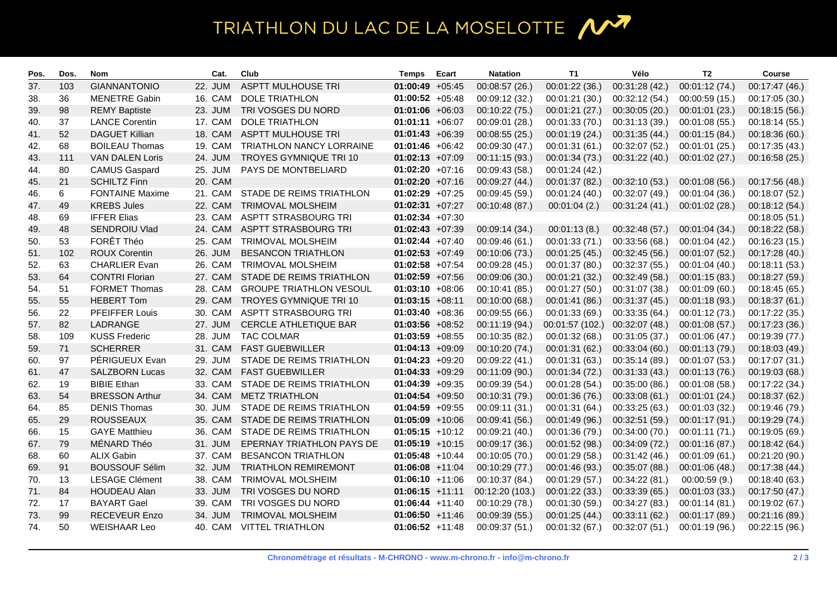## TRIATHLON DU LAC DE LA MOSELOTTE 1

| Pos. | Dos. | Nom                    | Cat.    | Club                           | Temps              | Ecart | <b>Natation</b> | T1              | Vélo           | T2             | <b>Course</b>  |
|------|------|------------------------|---------|--------------------------------|--------------------|-------|-----------------|-----------------|----------------|----------------|----------------|
| 37.  | 103  | <b>GIANNANTONIO</b>    | 22. JUM | <b>ASPTT MULHOUSE TRI</b>      | $01:00:49 +05:45$  |       | 00:08:57 (26.)  | 00:01:22 (36.)  | 00:31:28 (42.) | 00:01:12 (74.) | 00:17:47 (46.) |
| 38.  | 36   | <b>MENETRE Gabin</b>   | 16. CAM | <b>DOLE TRIATHLON</b>          | $01:00:52 +05:48$  |       | 00:09:12 (32.)  | 00:01:21 (30.)  | 00:32:12 (54.) | 00:00:59 (15.) | 00:17:05 (30.) |
| 39.  | 98   | <b>REMY Baptiste</b>   | 23. JUM | TRI VOSGES DU NORD             | $01:01:06 +06:03$  |       | 00:10:22(75)    | 00:01:21 (27.)  | 00:30:05(20.)  | 00:01:01 (23.) | 00:18:15 (56.) |
| 40.  | 37   | <b>LANCE Corentin</b>  | 17. CAM | <b>DOLE TRIATHLON</b>          | $01:01:11 + 06:07$ |       | 00:09:01 (28.)  | 00:01:33 (70.)  | 00:31:13 (39.) | 00:01:08 (55.) | 00:18:14 (55.) |
| 41.  | 52   | <b>DAGUET Killian</b>  | 18. CAM | <b>ASPTT MULHOUSE TRI</b>      | $01:01:43 +06:39$  |       | 00:08:55(25.)   | 00:01:19 (24.)  | 00:31:35 (44.) | 00:01:15 (84.) | 00:18:36 (60.) |
| 42.  | 68   | <b>BOILEAU Thomas</b>  | 19. CAM | TRIATHLON NANCY LORRAINE       | $01:01:46$ +06:42  |       | 00:09:30 (47.)  | 00:01:31 (61.)  | 00:32:07 (52.) | 00:01:01 (25.) | 00:17:35 (43.) |
| 43.  | 111  | <b>VAN DALEN Loris</b> | 24. JUM | <b>TROYES GYMNIQUE TRI 10</b>  | $01:02:13 +07:09$  |       | 00:11:15 (93.)  | 00:01:34 (73.)  | 00:31:22(40.)  | 00:01:02(27.)  | 00:16:58 (25.) |
| 44.  | 80   | <b>CAMUS Gaspard</b>   | 25. JUM | PAYS DE MONTBELIARD            | $01:02:20 +07:16$  |       | 00:09:43 (58.)  | 00:01:24 (42.)  |                |                |                |
| 45.  | 21   | <b>SCHILTZ Finn</b>    | 20. CAM |                                | $01:02:20 +07:16$  |       | 00:09:27 (44.)  | 00:01:37 (82.)  | 00:32:10(53)   | 00:01:08 (56.) | 00:17:56 (48.) |
| 46.  | 6    | <b>FONTAINE Maxime</b> | 21. CAM | STADE DE REIMS TRIATHLON       | $01:02:29$ +07:25  |       | 00:09:45 (59.)  | 00:01:24 (40.)  | 00:32:07 (49.) | 00:01:04 (36.) | 00:18:07 (52.) |
| 47.  | 49   | <b>KREBS Jules</b>     | 22. CAM | TRIMOVAL MOLSHEIM              | $01:02:31 +07:27$  |       | 00:10:48 (87.)  | 00:01:04(2.)    | 00:31:24(41.)  | 00:01:02 (28.) | 00:18:12 (54.) |
| 48.  | 69   | <b>IFFER Elias</b>     | 23. CAM | ASPTT STRASBOURG TRI           | $01:02:34$ +07:30  |       |                 |                 |                |                | 00:18:05 (51.) |
| 49.  | 48   | SENDROIU Vlad          | 24. CAM | <b>ASPTT STRASBOURG TRI</b>    | $01:02:43 +07:39$  |       | 00:09:14(34)    | 00:01:13(8.)    | 00:32:48(57.)  | 00:01:04 (34.) | 00:18:22 (58.) |
| 50.  | 53   | FORÊT Théo             | 25. CAM | TRIMOVAL MOLSHEIM              | $01:02:44$ +07:40  |       | 00:09:46 (61.)  | 00:01:33 (71.)  | 00:33:56 (68.) | 00:01:04 (42.) | 00:16:23 (15.) |
| 51.  | 102  | <b>ROUX Corentin</b>   | 26. JUM | <b>BESANCON TRIATHLON</b>      | $01:02:53 +07:49$  |       | 00:10:06 (73.)  | 00:01:25 (45.)  | 00:32:45(56.)  | 00:01:07 (52.) | 00:17:28 (40.) |
| 52.  | 63   | <b>CHARLIER Evan</b>   | 26. CAM | TRIMOVAL MOLSHEIM              | $01:02:58$ +07:54  |       | 00:09:28 (45.)  | 00:01:37 (80.)  | 00:32:37 (55.) | 00:01:04 (40.) | 00:18:11 (53.) |
| 53.  | 64   | <b>CONTRI Florian</b>  | 27. CAM | STADE DE REIMS TRIATHLON       | $01:02:59$ +07:56  |       | 00:09:06 (30.)  | 00:01:21 (32.)  | 00:32:49 (58.) | 00:01:15(83)   | 00:18:27 (59.) |
| 54.  | 51   | <b>FORMET Thomas</b>   | 28. CAM | <b>GROUPE TRIATHLON VESOUL</b> | $01:03:10 +08:06$  |       | 00:10:41 (85.)  | 00:01:27 (50.)  | 00:31:07 (38.) | 00:01:09(60)   | 00:18:45 (65.) |
| 55.  | 55   | <b>HEBERT Tom</b>      | 29. CAM | TROYES GYMNIQUE TRI 10         | $01:03:15 +08:11$  |       | 00:10:00 (68.)  | 00:01:41 (86.)  | 00:31:37 (45.) | 00:01:18 (93.) | 00:18:37 (61.) |
| 56.  | 22   | PFEIFFER Louis         | 30. CAM | <b>ASPTT STRASBOURG TRI</b>    | $01:03:40 +08:36$  |       | 00:09:55 (66.)  | 00:01:33 (69.)  | 00:33:35 (64.) | 00:01:12 (73.) | 00:17:22 (35.) |
| 57.  | 82   | LADRANGE               | 27. JUM | CERCLE ATHLETIQUE BAR          | $01:03:56$ +08:52  |       | 00:11:19 (94.)  | 00:01:57 (102.) | 00:32:07 (48.) | 00:01:08(57.)  | 00:17:23 (36.) |
| 58.  | 109  | <b>KUSS Frederic</b>   | 28. JUM | <b>TAC COLMAR</b>              | $01:03:59 +08:55$  |       | 00:10:35 (82.)  | 00:01:32 (68.)  | 00:31:05 (37.) | 00:01:06 (47.) | 00:19:39 (77.) |
| 59.  | 71   | <b>SCHERRER</b>        | 31. CAM | <b>FAST GUEBWILLER</b>         | $01:04:13 +09:09$  |       | 00:10:20(74)    | 00:01:31 (62.)  | 00:33:04(60.)  | 00:01:13 (79.) | 00:18:03 (49.) |
| 60.  | 97   | PÉRIGUEUX Evan         | 29. JUM | STADE DE REIMS TRIATHLON       | $01:04:23 +09:20$  |       | 00:09:22 (41.)  | 00:01:31 (63.)  | 00:35:14 (89.) | 00:01:07 (53.) | 00:17:07 (31.) |
| 61.  | 47   | <b>SALZBORN Lucas</b>  | 32. CAM | <b>FAST GUEBWILLER</b>         | $01:04:33 +09:29$  |       | 00:11:09 (90.)  | 00:01:34 (72.)  | 00:31:33(43)   | 00:01:13 (76.) | 00:19:03 (68.) |
| 62.  | 19   | <b>BIBIE Ethan</b>     | 33. CAM | STADE DE REIMS TRIATHLON       | $01:04:39 +09:35$  |       | 00:09:39 (54.)  | 00:01:28 (54.)  | 00:35:00 (86.) | 00:01:08 (58.) | 00:17:22 (34.) |
| 63.  | 54   | <b>BRESSON Arthur</b>  | 34. CAM | <b>METZ TRIATHLON</b>          | $01:04:54 +09:50$  |       | 00:10:31 (79.)  | 00:01:36 (76.)  | 00:33:08(61)   | 00:01:01 (24.) | 00:18:37 (62.) |
| 64.  | 85   | <b>DENIS Thomas</b>    | 30. JUM | STADE DE REIMS TRIATHLON       | $01:04:59 +09:55$  |       | 00:09:11 (31.)  | 00:01:31 (64.)  | 00:33:25(63)   | 00:01:03 (32.) | 00:19:46 (79.) |
| 65.  | 29   | <b>ROUSSEAUX</b>       | 35. CAM | STADE DE REIMS TRIATHLON       | $01:05:09$ +10:06  |       | 00:09:41 (56.)  | 00:01:49 (96.)  | 00:32:51 (59.) | 00:01:17 (91.) | 00:19:29 (74.) |
| 66.  | 15   | <b>GAYE Matthieu</b>   | 36. CAM | STADE DE REIMS TRIATHLON       | $01:05:15 +10:12$  |       | 00:09:21 (40.)  | 00:01:36 (79.)  | 00:34:00 (70.) | 00:01:11 (71.) | 00:19:05 (69.) |
| 67.  | 79   | MÉNARD Théo            | 31. JUM | EPERNAY TRIATHLON PAYS DE      | $01:05:19$ +10:15  |       | 00:09:17 (36.)  | 00:01:52 (98.)  | 00:34:09 (72.) | 00:01:16 (87.) | 00:18:42 (64.) |
| 68.  | 60   | <b>ALIX Gabin</b>      | 37. CAM | <b>BESANCON TRIATHLON</b>      | $01:05:48$ +10:44  |       | 00:10:05 (70.)  | 00:01:29 (58.)  | 00:31:42 (46.) | 00:01:09(61)   | 00:21:20 (90.) |
| 69.  | 91   | <b>BOUSSOUF Sélim</b>  | 32. JUM | <b>TRIATHLON REMIREMONT</b>    | $01:06:08$ +11:04  |       | 00:10:29(77.)   | 00:01:46 (93.)  | 00:35:07 (88.) | 00:01:06 (48.) | 00:17:38 (44.) |
| 70.  | 13   | <b>LESAGE Clément</b>  | 38. CAM | TRIMOVAL MOLSHEIM              | $01:06:10 + 11:06$ |       | 00:10:37 (84.)  | 00:01:29 (57.)  | 00:34:22(81)   | 00:00:59(9.)   | 00:18:40 (63.) |
| 71.  | 84   | <b>HOUDEAU Alan</b>    | 33. JUM | TRI VOSGES DU NORD             | $01:06:15 +11:11$  |       | 00:12:20 (103.) | 00:01:22 (33.)  | 00:33:39 (65.) | 00:01:03 (33.) | 00:17:50 (47.) |
| 72.  | 17   | <b>BAYART Gael</b>     | 39. CAM | TRI VOSGES DU NORD             | $01:06:44$ +11:40  |       | 00:10:29 (78.)  | 00:01:30 (59.)  | 00:34:27 (83.) | 00:01:14(81)   | 00:19:02(67)   |
| 73.  | 99   | <b>RECEVEUR Enzo</b>   | 34. JUM | TRIMOVAL MOLSHEIM              | $01:06:50 +11:46$  |       | 00:09:39 (55.)  | 00:01:25(44.)   | 00:33:11(62)   | 00:01:17 (89.) | 00:21:16 (89.) |
| 74.  | 50   | <b>WEISHAAR Leo</b>    | 40. CAM | <b>VITTEL TRIATHLON</b>        | $01:06:52 +11:48$  |       | 00:09:37 (51.)  | 00:01:32 (67.)  | 00:32:07 (51.) | 00:01:19 (96.) | 00:22:15 (96.) |